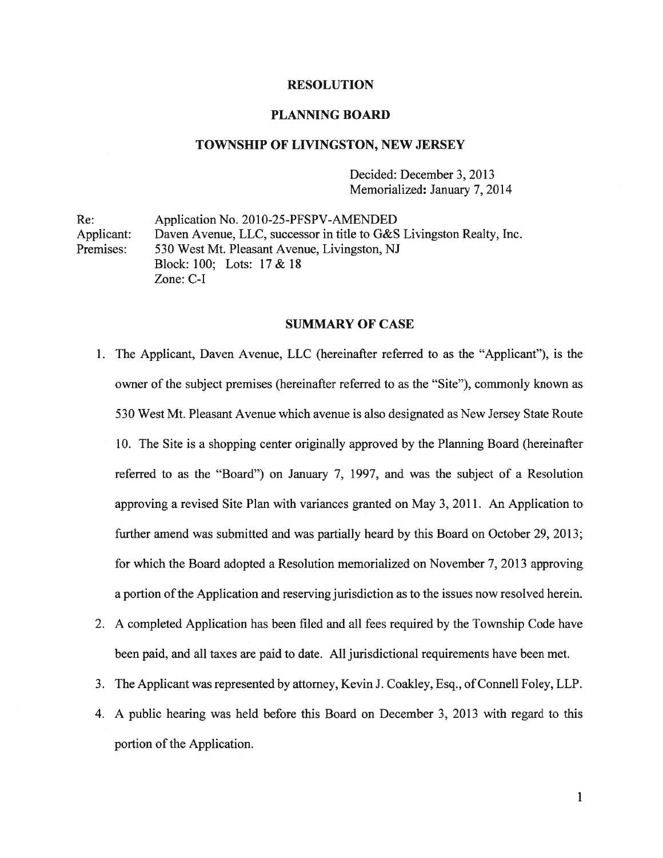## **RESOLUTION**

## PLANNING BOARD

## TOWNSHIP OF LIVINGSTON, NEW JERSEY

Decided: December 3, 2013 Memorialized: January 7, 2014

Re: Application No. 2010-25-PFSPV-AMENDED Applicant: Daven Avenue, LLC, successor in title to G&S Livingston Realty, Inc. Premises: 530 West Mt. Pleasant Avenue, Livingston, NJ Block: 100; Lots: 17 & 18 Zone: C-I

#### SUMMARY OF CASE

- 1. The Applicant, Daven Avenue, LLC (hereinafter referred to as the "Applicant"), is the owner of the subject premises (hereinafter referred to as the "Site"), commonly known as 530 West Mt. Pleasant Avenue which avenue is also designated as New Jersey State Route 10. The Site is <sup>a</sup> shopping center originally approved by the Planning Board (hereinafter referred to as the "Board") on January 7, 1997, and was the subject of <sup>a</sup> Resolution approving <sup>a</sup> revised Site Plan with variances granted on May 3, 2011. An Application to further amend was submitted and was partially heard by this Board on October 29, 2013; for which the Board adopted <sup>a</sup> Resolution memorialized on November 7, 2013 approving <sup>a</sup> portion ofthe Application and reserving jurisdiction as to the issues now resolved herein.
- 2. A completed Application has been filed and all fees required by the Township Code have been paid, and all taxes are paid to date. All jurisdictional requirements have been met.
- 3. The Applicant was represented by attorney, Kevin J. Coakley, Esq., of Connell Foley, LLP.
- 4. A public hearing was held before this Board on December 3, 2013 with regard to this portion of the Application.

 $\mathbf{1}$ 1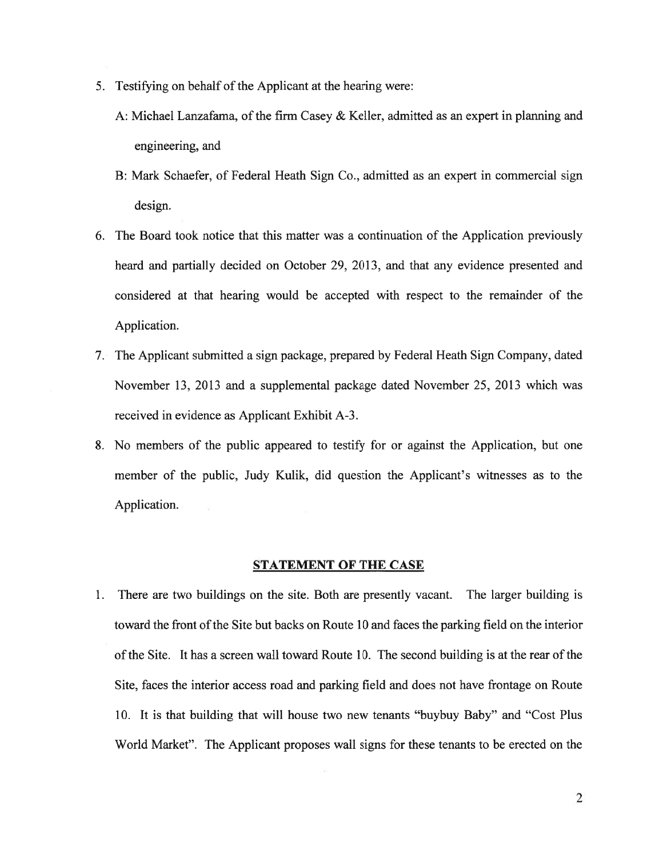- 5. Testifying on behalf of the Applicant at the hearing were:
	- A: Michael Lanzafama, of the firm Casey  $&$  Keller, admitted as an expert in planning and engineering, and
	- B: Mark Schaefer, of Federal Heath Sign Co., admitted as an exper<sup>t</sup> in commercial sign design.
- 6. The Board took notice that this matter was <sup>a</sup> continuation of the Application previously heard and partially decided on October 29, 2013, and that any evidence presented and considered at that hearing would be accepted with respec<sup>t</sup> to the remainder of the Application.
- 7. The Applicant submitted <sup>a</sup> sign package, prepared by Federal Heath Sign Company, dated November 13, 2013 and <sup>a</sup> supplemental package dated November 25, 2013 which was received in evidence as Applicant Exhibit A-3.
- 8. No members of the public appeared to testify for or against the Application, but one member of the public, Judy Kulik, did question the Applicant's witnesses as to the Application.

### STATEMENT OF THE CASE

1. There are two buildings on the site. Both are presently vacant. The larger building is toward the front of the Site but backs on Route 10 and faces the parking field on the interior ofthe Site. It has <sup>a</sup> screen wall toward Route 10. The second building is at the rear of the Site, faces the interior access road and parking field and does not have frontage on Route 10. It is that building that will house two new tenants "buybuy Baby" and "Cost Plus World Market". The Applicant proposes wall signs for these tenants to be erected on the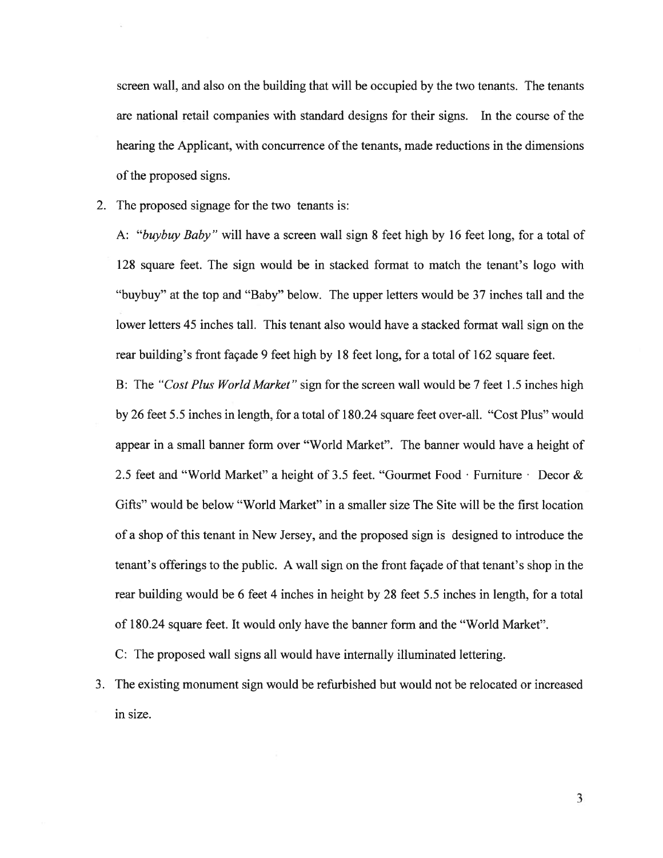screen wall, and also on the building that will be occupied by the two tenants. The tenants are national retail companies with standard designs for their signs. In the course of the hearing the Applicant, with concurrence of the tenants, made reductions in the dimensions of the proposed signs.

2. The proposed signage for the two tenants is:

A: "buybuy Baby" will have <sup>a</sup> screen wall sign 8 feet high by 16 feet long, for <sup>a</sup> total of 128 square feet. The sign would be in stacked format to match the tenant's logo with "buybuy" at the top and "Baby" below. The upper letters would be 37 inches tall and the lower letters 45 inches tall. This tenant also would have <sup>a</sup> stacked format wall sign on the rear building's front façade 9 feet high by 18 feet long, for <sup>a</sup> total of 162 square feet.

B: The "Cost Plus World Market" sign for the screen wall would be 7 feet 1.5 inches high by 26 feet 5.5 inches in length, for <sup>a</sup> total of 180.24 square feet over-all. "Cost Plus" would appear in <sup>a</sup> small banner form over "World Market". The banner would have <sup>a</sup> height of 2.5 feet and "World Market" a height of 3.5 feet. "Gourmet Food Furniture Decor  $\&$ Gifts" would be below "World Market" in <sup>a</sup> smaller size The Site will be the first location of <sup>a</sup> shop of this tenant in New Jersey, and the proposed sign is designed to introduce the tenant's offerings to the public. A wall sign on the front façade of that tenant's shop in the rear building would be 6 feet 4 inches in height by 28 feet 5.5 inches in length, for <sup>a</sup> total of 180.24 square feet. It would only have the banner form and the "World Market".

C: The proposed wall signs all would have internally illuminated lettering.

3. The existing monument sign would be refurbished but would not be relocated or increased in size.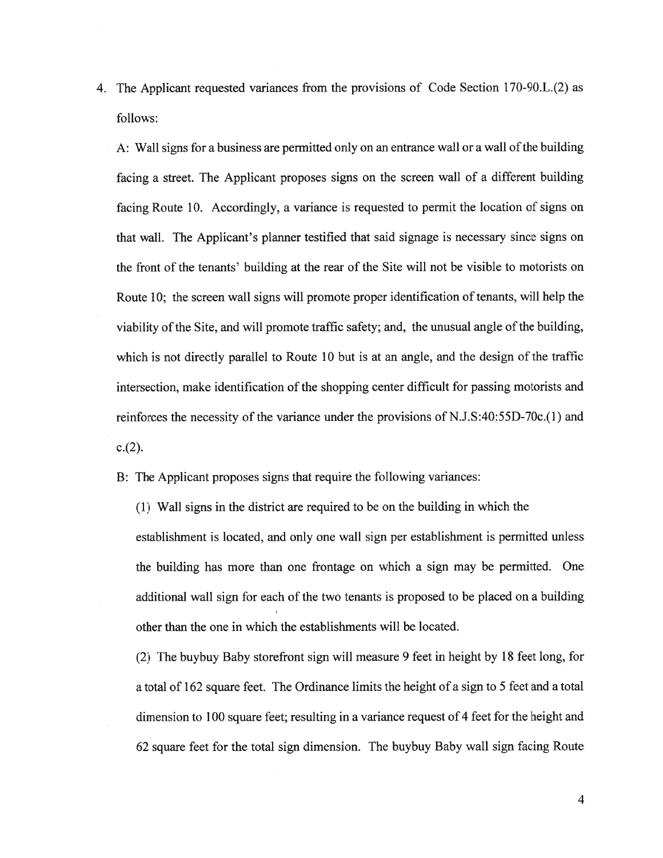4. The Applicant requested variances from the provisions of Code Section 170-90.L.(2) as follows:

A: Wall signs for a business are permitted only on an entrance wall or a wall of the building facing <sup>a</sup> street. The Applicant proposes signs on the screen wall of <sup>a</sup> different building facing Route 10. Accordingly, <sup>a</sup> variance is requested to permit the location of signs on that wall. The Applicant's planner testified that said signage is necessary since signs on the front of the tenants' building at the rear of the Site will not be visible to motorists on Route 10; the screen wall signs will promote proper identification of tenants, will help the viability of the Site, and will promote traffic safety; and, the unusual angle of the building, which is not directly parallel to Route 10 but is at an angle, and the design of the traffic intersection, make identification of the shopping center difficult for passing motorists and reinforces the necessity of the variance under the provisions of N.J.S:40:55D-70c.(1) and  $c.(2)$ .

B: The Applicant proposes signs that require the following variances:

(1) Wall signs in the district are required to be on the building in which the establishment is located, and only one wall sign per establishment is permitted unless the building has more than one frontage on which <sup>a</sup> sign may be permitted. One additional wall sign for each of the two tenants is proposed to be <sup>p</sup>laced on <sup>a</sup> building other than the one in which the establishments will be located.

(2) The buybuy Baby storefront sign will measure 9 feet in height by 18 feet long, for <sup>a</sup> total of 162 square feet. The Ordinance limits the height of <sup>a</sup> sign to 5 feet and <sup>a</sup> total dimension to 100 square feet; resulting in <sup>a</sup> variance reques<sup>t</sup> of 4 feet for the height and 62 square feet for the total sign dimension. The buybuy Baby wall sign facing Route

4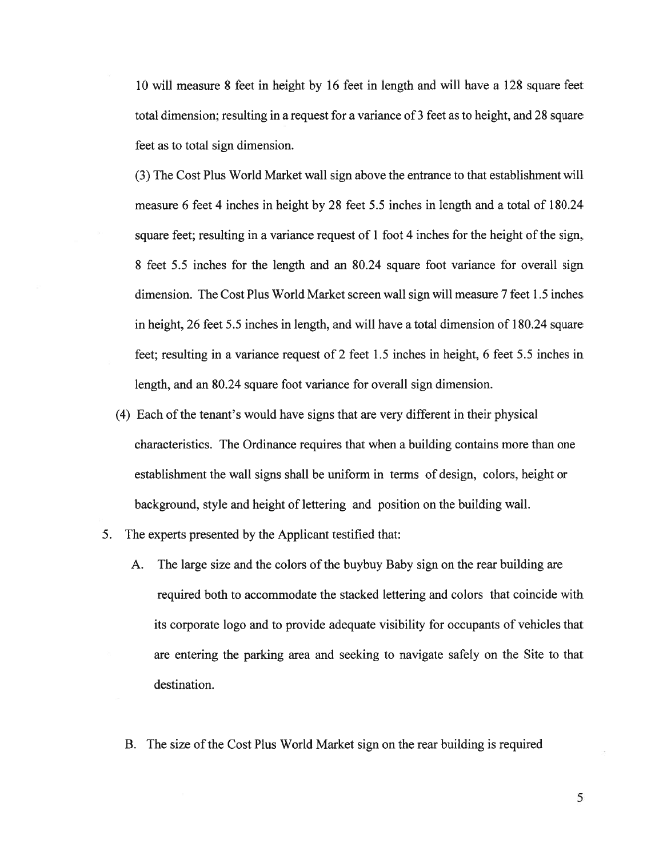10 will measure 8 feet in height by 16 feet in length and will have <sup>a</sup> 128 square feet total dimension; resulting in <sup>a</sup> reques<sup>t</sup> for <sup>a</sup> variance of 3 feet as to height, and 28 square feet as to total sign dimension.

(3) The Cost Plus World Market wall sign above the entrance to that establishment will measure 6 feet 4 inches in height by 28 feet 5.5 inches in length and <sup>a</sup> total of 180.24 square feet; resulting in <sup>a</sup> variance reques<sup>t</sup> of 1 foot 4 inches for the height of the sign, 8 feet 5.5 inches for the length and an 80.24 square foot variance for overall sign dimension. The Cost Plus World Market screen wall sign will measure 7 feet 1.5 inches in height, 26 feet 5.5 inches in length, and will have <sup>a</sup> total dimension of 180.24 square feet; resulting in <sup>a</sup> variance reques<sup>t</sup> of 2 feet 1.5 inches in height, 6 feet 5.5 inches in length, and an 80.24 square foot variance for overall sign dimension.

- (4) Each of the tenant's would have signs that are very different in their physical characteristics. The Ordinance requires that when <sup>a</sup> building contains more than one establishment the wall signs shall be uniform in terms of design, colors, height or background, style and height of lettering and position on the building wall.
- 5. The experts presented by the Applicant testified that:
	- A. The large size and the colors of the buybuy Baby sign on the rear building are required both to accommodate the stacked lettering and colors that coincide with its corporate logo and to provide adequate visibility for occupants of vehicles that are entering the parking area and seeking to navigate safely on the Site to that destination.
	- B. The size of the Cost Plus World Market sign on the rear building is required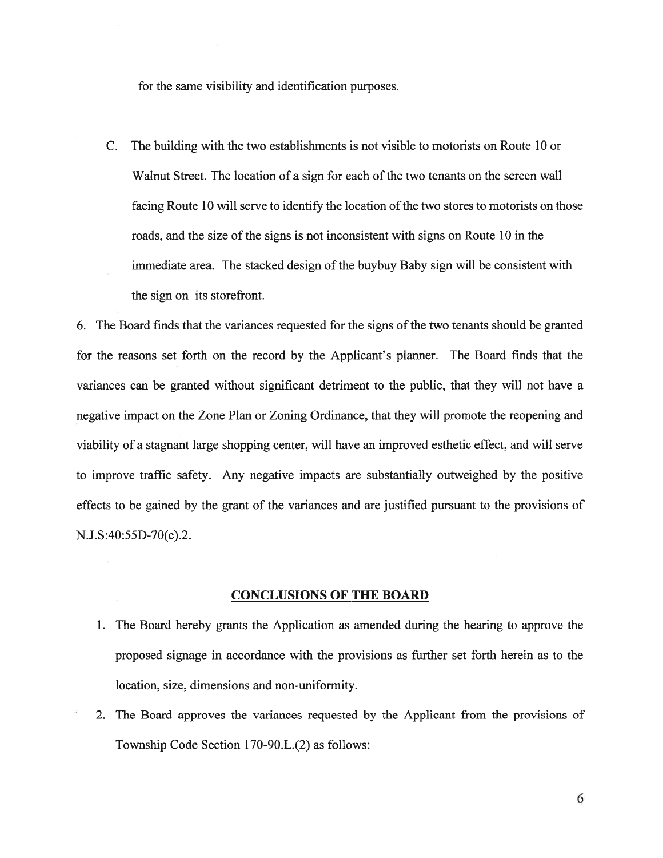for the same visibility and identification purposes.

C. The building with the two establishments is not visible to motorists on Route 10 or Walnut Street. The location of a sign for each of the two tenants on the screen wall facing Route 10 will serve to identify the location of the two stores to motorists on those roads, and the size of the signs is not inconsistent with signs on Route 10 in the immediate area. The stacked design of the buybuy Baby sign will be consistent with the sign on its storefront.

6. The Board finds that the variances requested for the signs ofthe two tenants should be granted for the reasons set forth on the record by the Applicant's planner. The Board finds that the variances can be granted without significant detriment to the public, that they will not have <sup>a</sup> negative impact on the Zone Plan or Zoning Ordinance, that they will promote the reopening and viability of <sup>a</sup> stagnant large shopping center, will have an improved esthetic effect, and will serve to improve traffic safety. Any negative impacts are substantially outweighed by the positive effects to be gained by the gran<sup>t</sup> of the variances and are justified pursuan<sup>t</sup> to the provisions of N.J.S:40:55D-70(c).2.

# CONCLUSIONS OF THE BOARD

- 1. The Board hereby grants the Application as amended during the hearing to approve the proposed signage in accordance with the provisions as further set forth herein as to the location, size, dimensions and non-uniformity.
- 2. The Board approves the variances requested by the Applicant from the provisions of Township Code Section 170-90.L.(2) as follows: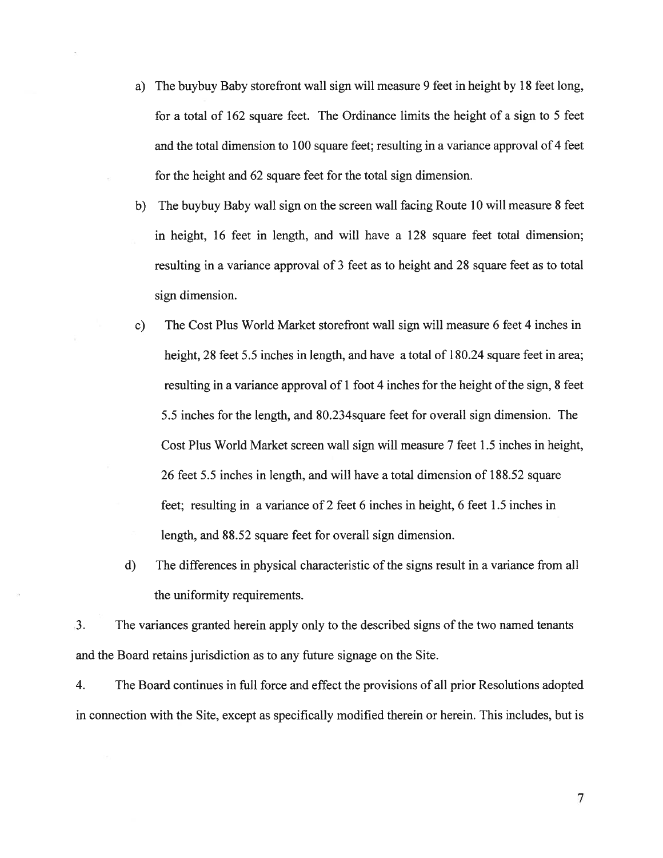- a) The buybuy Baby storefront wall sign will measure 9 feet in height by 18 feet long, for <sup>a</sup> total of 162 square feet. The Ordinance limits the height of <sup>a</sup> sign to 5 feet and the total dimension to 100 square feet; resulting in <sup>a</sup> variance approval of 4 feet for the height and 62 square feet for the total sign dimension.
- b) The buybuy Baby wall sign on the screen wall facing Route 10 will measure 8 feet in height, 16 feet in length, and will have <sup>a</sup> 128 square feet total dimension; resulting in <sup>a</sup> variance approval of 3 feet as to height and 28 square feet as to total sign dimension.
- c) The Cost Plus World Market storefront wall sign will measure 6 feet 4 inches in height, 28 feet 5.5 inches in length, and have a total of 180.24 square feet in area; resulting in a variance approval of  $1$  foot  $4$  inches for the height of the sign,  $8$  feet 5.5 inches for the length, and 80.234square feet for overall sign dimension. The Cost Plus World Market screen wall sign will measure 7 feet 1.5 inches in height, 26 feet 5.5 inches in length, and will have <sup>a</sup> total dimension of 188.52 square feet; resulting in <sup>a</sup> variance of 2 feet 6 inches in height, 6 feet 1.5 inches in length, and 88.52 square feet for overall sign dimension.
- d) The differences in physical characteristic of the signs result in <sup>a</sup> variance from all the uniformity requirements.

3. The variances granted herein apply only to the described signs of the two named tenants and the Board retains jurisdiction as to any future signage on the Site.

4. The Board continues in full force and effect the provisions of all prior Resolutions adopted in connection with the Site, excep<sup>t</sup> as specifically modified therein or herein. This includes, but is